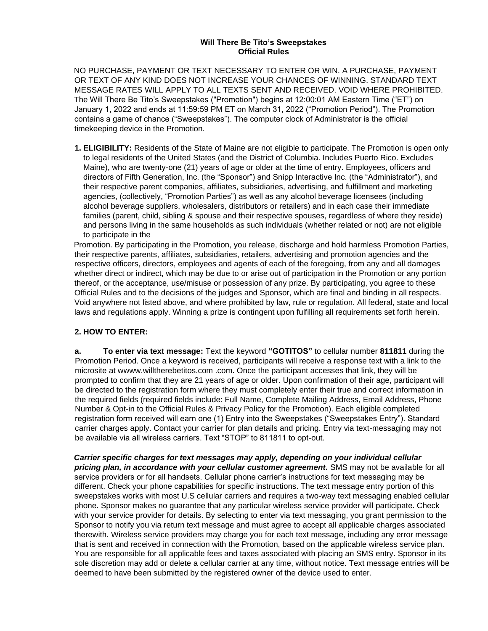### **Will There Be Tito's Sweepstakes Official Rules**

NO PURCHASE, PAYMENT OR TEXT NECESSARY TO ENTER OR WIN. A PURCHASE, PAYMENT OR TEXT OF ANY KIND DOES NOT INCREASE YOUR CHANCES OF WINNING. STANDARD TEXT MESSAGE RATES WILL APPLY TO ALL TEXTS SENT AND RECEIVED. VOID WHERE PROHIBITED. The Will There Be Tito's Sweepstakes ("Promotion") begins at 12:00:01 AM Eastern Time ("ET") on January 1, 2022 and ends at 11:59:59 PM ET on March 31, 2022 ("Promotion Period"). The Promotion contains a game of chance ("Sweepstakes"). The computer clock of Administrator is the official timekeeping device in the Promotion.

**1. ELIGIBILITY:** Residents of the State of Maine are not eligible to participate. The Promotion is open only to legal residents of the United States (and the District of Columbia. Includes Puerto Rico. Excludes Maine), who are twenty-one (21) years of age or older at the time of entry. Employees, officers and directors of Fifth Generation, Inc. (the "Sponsor") and Snipp Interactive Inc. (the "Administrator"), and their respective parent companies, affiliates, subsidiaries, advertising, and fulfillment and marketing agencies, (collectively, "Promotion Parties") as well as any alcohol beverage licensees (including alcohol beverage suppliers, wholesalers, distributors or retailers) and in each case their immediate families (parent, child, sibling & spouse and their respective spouses, regardless of where they reside) and persons living in the same households as such individuals (whether related or not) are not eligible to participate in the

Promotion. By participating in the Promotion, you release, discharge and hold harmless Promotion Parties, their respective parents, affiliates, subsidiaries, retailers, advertising and promotion agencies and the respective officers, directors, employees and agents of each of the foregoing, from any and all damages whether direct or indirect, which may be due to or arise out of participation in the Promotion or any portion thereof, or the acceptance, use/misuse or possession of any prize. By participating, you agree to these Official Rules and to the decisions of the judges and Sponsor, which are final and binding in all respects. Void anywhere not listed above, and where prohibited by law, rule or regulation. All federal, state and local laws and regulations apply. Winning a prize is contingent upon fulfilling all requirements set forth herein.

# **2. HOW TO ENTER:**

**a. To enter via text message:** Text the keyword **"GOTITOS"** to cellular number **811811** during the Promotion Period. Once a keyword is received, participants will receive a response text with a link to the microsite at wwww.willtherebetitos.com .com. Once the participant accesses that link, they will be prompted to confirm that they are 21 years of age or older. Upon confirmation of their age, participant will be directed to the registration form where they must completely enter their true and correct information in the required fields (required fields include: Full Name, Complete Mailing Address, Email Address, Phone Number & Opt-in to the Official Rules & Privacy Policy for the Promotion). Each eligible completed registration form received will earn one (1) Entry into the Sweepstakes ("Sweepstakes Entry"). Standard carrier charges apply. Contact your carrier for plan details and pricing. Entry via text-messaging may not be available via all wireless carriers. Text "STOP" to 811811 to opt-out.

*Carrier specific charges for text messages may apply, depending on your individual cellular pricing plan, in accordance with your cellular customer agreement.* SMS may not be available for all service providers or for all handsets. Cellular phone carrier's instructions for text messaging may be different. Check your phone capabilities for specific instructions. The text message entry portion of this sweepstakes works with most U.S cellular carriers and requires a two-way text messaging enabled cellular phone. Sponsor makes no guarantee that any particular wireless service provider will participate. Check with your service provider for details. By selecting to enter via text messaging, you grant permission to the Sponsor to notify you via return text message and must agree to accept all applicable charges associated therewith. Wireless service providers may charge you for each text message, including any error message that is sent and received in connection with the Promotion, based on the applicable wireless service plan. You are responsible for all applicable fees and taxes associated with placing an SMS entry. Sponsor in its sole discretion may add or delete a cellular carrier at any time, without notice. Text message entries will be deemed to have been submitted by the registered owner of the device used to enter.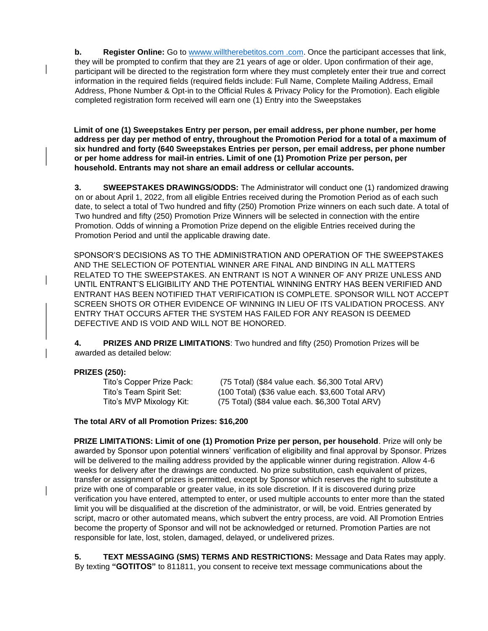**b. Register Online:** Go to wwww.willtherebetitos.com.com. Once the participant accesses that link, they will be prompted to confirm that they are 21 years of age or older. Upon confirmation of their age, participant will be directed to the registration form where they must completely enter their true and correct information in the required fields (required fields include: Full Name, Complete Mailing Address, Email Address, Phone Number & Opt-in to the Official Rules & Privacy Policy for the Promotion). Each eligible completed registration form received will earn one (1) Entry into the Sweepstakes

**Limit of one (1) Sweepstakes Entry per person, per email address, per phone number, per home address per day per method of entry, throughout the Promotion Period for a total of a maximum of six hundred and forty (640 Sweepstakes Entries per person, per email address, per phone number or per home address for mail-in entries. Limit of one (1) Promotion Prize per person, per household. Entrants may not share an email address or cellular accounts.** 

**3. SWEEPSTAKES DRAWINGS/ODDS:** The Administrator will conduct one (1) randomized drawing on or about April 1, 2022, from all eligible Entries received during the Promotion Period as of each such date, to select a total of Two hundred and fifty (250) Promotion Prize winners on each such date. A total of Two hundred and fifty (250) Promotion Prize Winners will be selected in connection with the entire Promotion. Odds of winning a Promotion Prize depend on the eligible Entries received during the Promotion Period and until the applicable drawing date.

SPONSOR'S DECISIONS AS TO THE ADMINISTRATION AND OPERATION OF THE SWEEPSTAKES AND THE SELECTION OF POTENTIAL WINNER ARE FINAL AND BINDING IN ALL MATTERS RELATED TO THE SWEEPSTAKES. AN ENTRANT IS NOT A WINNER OF ANY PRIZE UNLESS AND UNTIL ENTRANT'S ELIGIBILITY AND THE POTENTIAL WINNING ENTRY HAS BEEN VERIFIED AND ENTRANT HAS BEEN NOTIFIED THAT VERIFICATION IS COMPLETE. SPONSOR WILL NOT ACCEPT SCREEN SHOTS OR OTHER EVIDENCE OF WINNING IN LIEU OF ITS VALIDATION PROCESS. ANY ENTRY THAT OCCURS AFTER THE SYSTEM HAS FAILED FOR ANY REASON IS DEEMED DEFECTIVE AND IS VOID AND WILL NOT BE HONORED.

**4. PRIZES AND PRIZE LIMITATIONS**: Two hundred and fifty (250) Promotion Prizes will be awarded as detailed below:

#### **PRIZES (250):**

| Tito's Copper Prize Pack: | (75 Total) (\$84 value each. \$6,300 Total ARV)  |
|---------------------------|--------------------------------------------------|
| Tito's Team Spirit Set:   | (100 Total) (\$36 value each. \$3,600 Total ARV) |
| Tito's MVP Mixology Kit:  | (75 Total) (\$84 value each. \$6,300 Total ARV)  |

#### **The total ARV of all Promotion Prizes: \$16,200**

**PRIZE LIMITATIONS: Limit of one (1) Promotion Prize per person, per household**. Prize will only be awarded by Sponsor upon potential winners' verification of eligibility and final approval by Sponsor. Prizes will be delivered to the mailing address provided by the applicable winner during registration. Allow 4-6 weeks for delivery after the drawings are conducted. No prize substitution, cash equivalent of prizes, transfer or assignment of prizes is permitted, except by Sponsor which reserves the right to substitute a prize with one of comparable or greater value, in its sole discretion. If it is discovered during prize verification you have entered, attempted to enter, or used multiple accounts to enter more than the stated limit you will be disqualified at the discretion of the administrator, or will, be void. Entries generated by script, macro or other automated means, which subvert the entry process, are void. All Promotion Entries become the property of Sponsor and will not be acknowledged or returned. Promotion Parties are not responsible for late, lost, stolen, damaged, delayed, or undelivered prizes.

**5. TEXT MESSAGING (SMS) TERMS AND RESTRICTIONS:** Message and Data Rates may apply. By texting **"GOTITOS"** to 811811, you consent to receive text message communications about the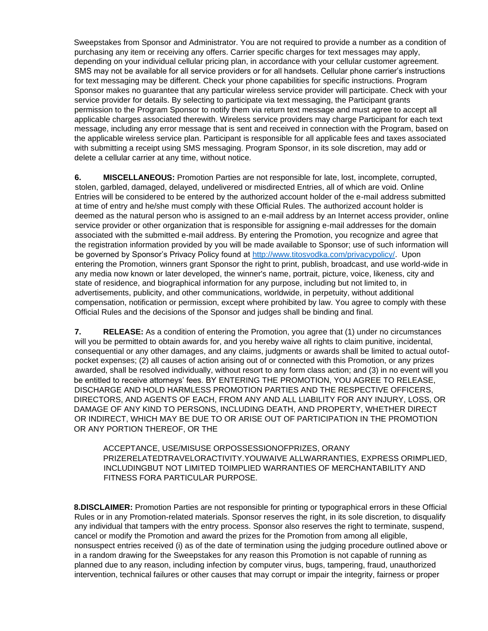Sweepstakes from Sponsor and Administrator. You are not required to provide a number as a condition of purchasing any item or receiving any offers. Carrier specific charges for text messages may apply, depending on your individual cellular pricing plan, in accordance with your cellular customer agreement. SMS may not be available for all service providers or for all handsets. Cellular phone carrier's instructions for text messaging may be different. Check your phone capabilities for specific instructions. Program Sponsor makes no guarantee that any particular wireless service provider will participate. Check with your service provider for details. By selecting to participate via text messaging, the Participant grants permission to the Program Sponsor to notify them via return text message and must agree to accept all applicable charges associated therewith. Wireless service providers may charge Participant for each text message, including any error message that is sent and received in connection with the Program, based on the applicable wireless service plan. Participant is responsible for all applicable fees and taxes associated with submitting a receipt using SMS messaging. Program Sponsor, in its sole discretion, may add or delete a cellular carrier at any time, without notice.

**6. MISCELLANEOUS:** Promotion Parties are not responsible for late, lost, incomplete, corrupted, stolen, garbled, damaged, delayed, undelivered or misdirected Entries, all of which are void. Online Entries will be considered to be entered by the authorized account holder of the e-mail address submitted at time of entry and he/she must comply with these Official Rules. The authorized account holder is deemed as the natural person who is assigned to an e-mail address by an Internet access provider, online service provider or other organization that is responsible for assigning e-mail addresses for the domain associated with the submitted e-mail address. By entering the Promotion, you recognize and agree that the registration information provided by you will be made available to Sponsor; use of such information will be governed by Sponsor's Privacy Policy found at [http://www.titosvodka.com/privacypolicy/.](http://www.titosvodka.com/privacypolicy/) Upon entering the Promotion, winners grant Sponsor the right to print, publish, broadcast, and use world-wide in any media now known or later developed, the winner's name, portrait, picture, voice, likeness, city and state of residence, and biographical information for any purpose, including but not limited to, in advertisements, publicity, and other communications, worldwide, in perpetuity, without additional compensation, notification or permission, except where prohibited by law. You agree to comply with these Official Rules and the decisions of the Sponsor and judges shall be binding and final.

**7. RELEASE:** As a condition of entering the Promotion, you agree that (1) under no circumstances will you be permitted to obtain awards for, and you hereby waive all rights to claim punitive, incidental, consequential or any other damages, and any claims, judgments or awards shall be limited to actual outofpocket expenses; (2) all causes of action arising out of or connected with this Promotion, or any prizes awarded, shall be resolved individually, without resort to any form class action; and (3) in no event will you be entitled to receive attorneys' fees. BY ENTERING THE PROMOTION, YOU AGREE TO RELEASE, DISCHARGE AND HOLD HARMLESS PROMOTION PARTIES AND THE RESPECTIVE OFFICERS, DIRECTORS, AND AGENTS OF EACH, FROM ANY AND ALL LIABILITY FOR ANY INJURY, LOSS, OR DAMAGE OF ANY KIND TO PERSONS, INCLUDING DEATH, AND PROPERTY, WHETHER DIRECT OR INDIRECT, WHICH MAY BE DUE TO OR ARISE OUT OF PARTICIPATION IN THE PROMOTION OR ANY PORTION THEREOF, OR THE

ACCEPTANCE, USE/MISUSE ORPOSSESSIONOFPRIZES, ORANY PRIZERELATEDTRAVELORACTIVITY.YOUWAIVE ALLWARRANTIES, EXPRESS ORIMPLIED, INCLUDINGBUT NOT LIMITED TOIMPLIED WARRANTIES OF MERCHANTABILITY AND FITNESS FORA PARTICULAR PURPOSE.

**8.DISCLAIMER:** Promotion Parties are not responsible for printing or typographical errors in these Official Rules or in any Promotion-related materials. Sponsor reserves the right, in its sole discretion, to disqualify any individual that tampers with the entry process. Sponsor also reserves the right to terminate, suspend, cancel or modify the Promotion and award the prizes for the Promotion from among all eligible, nonsuspect entries received (i) as of the date of termination using the judging procedure outlined above or in a random drawing for the Sweepstakes for any reason this Promotion is not capable of running as planned due to any reason, including infection by computer virus, bugs, tampering, fraud, unauthorized intervention, technical failures or other causes that may corrupt or impair the integrity, fairness or proper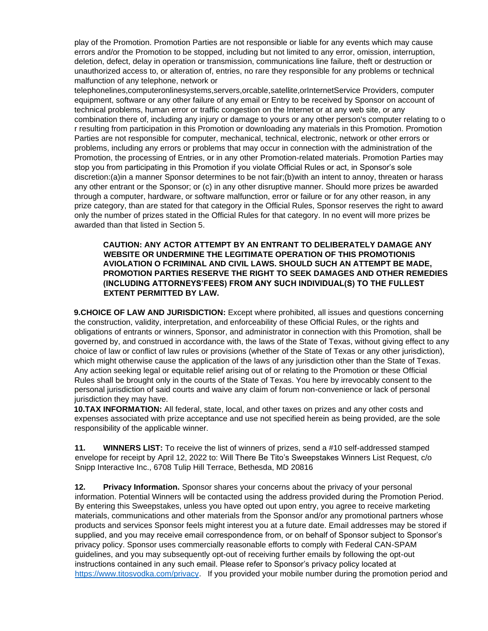play of the Promotion. Promotion Parties are not responsible or liable for any events which may cause errors and/or the Promotion to be stopped, including but not limited to any error, omission, interruption, deletion, defect, delay in operation or transmission, communications line failure, theft or destruction or unauthorized access to, or alteration of, entries, no rare they responsible for any problems or technical malfunction of any telephone, network or

telephonelines,computeronlinesystems,servers,orcable,satellite,orInternetService Providers, computer equipment, software or any other failure of any email or Entry to be received by Sponsor on account of technical problems, human error or traffic congestion on the Internet or at any web site, or any combination there of, including any injury or damage to yours or any other person's computer relating to o r resulting from participation in this Promotion or downloading any materials in this Promotion. Promotion Parties are not responsible for computer, mechanical, technical, electronic, network or other errors or problems, including any errors or problems that may occur in connection with the administration of the Promotion, the processing of Entries, or in any other Promotion-related materials. Promotion Parties may stop you from participating in this Promotion if you violate Official Rules or act, in Sponsor's sole discretion:(a)in a manner Sponsor determines to be not fair;(b)with an intent to annoy, threaten or harass any other entrant or the Sponsor; or (c) in any other disruptive manner. Should more prizes be awarded through a computer, hardware, or software malfunction, error or failure or for any other reason, in any prize category, than are stated for that category in the Official Rules, Sponsor reserves the right to award only the number of prizes stated in the Official Rules for that category. In no event will more prizes be awarded than that listed in Section 5.

### **CAUTION: ANY ACTOR ATTEMPT BY AN ENTRANT TO DELIBERATELY DAMAGE ANY WEBSITE OR UNDERMINE THE LEGITIMATE OPERATION OF THIS PROMOTIONIS AVIOLATION O FCRIMINAL AND CIVIL LAWS. SHOULD SUCH AN ATTEMPT BE MADE, PROMOTION PARTIES RESERVE THE RIGHT TO SEEK DAMAGES AND OTHER REMEDIES (INCLUDING ATTORNEYS'FEES) FROM ANY SUCH INDIVIDUAL(S) TO THE FULLEST EXTENT PERMITTED BY LAW.**

**9.CHOICE OF LAW AND JURISDICTION:** Except where prohibited, all issues and questions concerning the construction, validity, interpretation, and enforceability of these Official Rules, or the rights and obligations of entrants or winners, Sponsor, and administrator in connection with this Promotion, shall be governed by, and construed in accordance with, the laws of the State of Texas, without giving effect to any choice of law or conflict of law rules or provisions (whether of the State of Texas or any other jurisdiction), which might otherwise cause the application of the laws of any jurisdiction other than the State of Texas. Any action seeking legal or equitable relief arising out of or relating to the Promotion or these Official Rules shall be brought only in the courts of the State of Texas. You here by irrevocably consent to the personal jurisdiction of said courts and waive any claim of forum non-convenience or lack of personal jurisdiction they may have.

**10.TAX INFORMATION:** All federal, state, local, and other taxes on prizes and any other costs and expenses associated with prize acceptance and use not specified herein as being provided, are the sole responsibility of the applicable winner.

**11. WINNERS LIST:** To receive the list of winners of prizes, send a #10 self-addressed stamped envelope for receipt by April 12, 2022 to: Will There Be Tito's Sweepstakes Winners List Request, c/o Snipp Interactive Inc., 6708 Tulip Hill Terrace, Bethesda, MD 20816

**12. Privacy Information.** Sponsor shares your concerns about the privacy of your personal information. Potential Winners will be contacted using the address provided during the Promotion Period. By entering this Sweepstakes, unless you have opted out upon entry, you agree to receive marketing materials, communications and other materials from the Sponsor and/or any promotional partners whose products and services Sponsor feels might interest you at a future date. Email addresses may be stored if supplied, and you may receive email correspondence from, or on behalf of Sponsor subject to Sponsor's privacy policy. Sponsor uses commercially reasonable efforts to comply with Federal CAN-SPAM guidelines, and you may subsequently opt-out of receiving further emails by following the opt-out instructions contained in any such email. Please refer to Sponsor's privacy policy located at [https://www.titosvodka.com/privacy.](https://www.titosvodka.com/privacy) If you provided your mobile number during the promotion period and